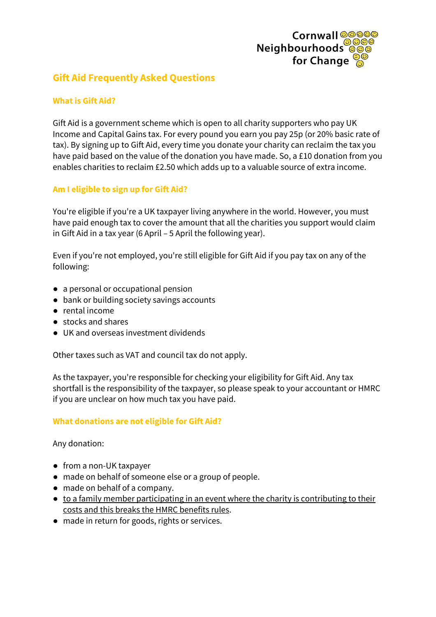

# **Gift Aid Frequently Asked Questions**

# **What is Gift Aid?**

Gift Aid is a government scheme which is open to all charity supporters who pay UK Income and Capital Gains tax. For every pound you earn you pay 25p (or 20% basic rate of tax). By signing up to Gift Aid, every time you donate your charity can reclaim the tax you have paid based on the value of the donation you have made. So, a £10 donation from you enables charities to reclaim £2.50 which adds up to a valuable source of extra income.

# **Am I eligible to sign up for Gift Aid?**

You're eligible if you're a UK taxpayer living anywhere in the world. However, you must have paid enough tax to cover the amount that all the charities you support would claim in Gift Aid in a tax year (6 April – 5 April the following year).

Even if you're not employed, you're still eligible for Gift Aid if you pay tax on any of the following:

- a personal or occupational pension
- bank or building society savings accounts
- rental income
- stocks and shares
- UK and overseas investment dividends

Other taxes such as VAT and council tax do not apply.

As the taxpayer, you're responsible for checking your eligibility for Gift Aid. Any tax shortfall is the responsibility of the taxpayer, so please speak to your accountant or HMRC if you are unclear on how much tax you have paid.

# **What donations are not eligible for Gift Aid?**

Any donation:

- from a non-UK taxpayer
- made on behalf of someone else or a group of people.
- made on behalf of a company.
- to a family member participating in an event where the charity is contributing to their costs and this breaks the HMRC benefits rules.
- made in return for goods, rights or services.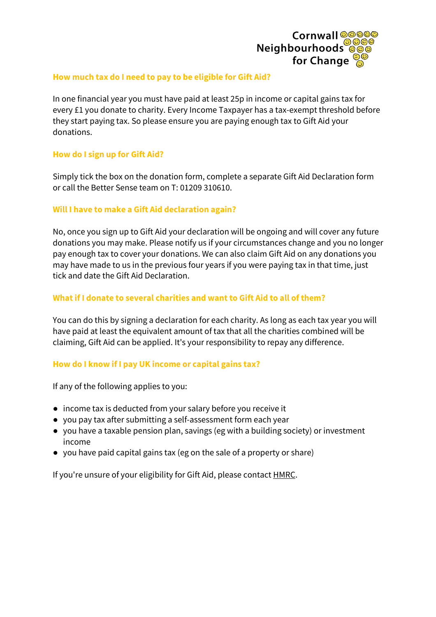

#### **How much tax do I need to pay to be eligible for Gift Aid?**

In one financial year you must have paid at least 25p in income or capital gains tax for every £1 you donate to charity. Every Income Taxpayer has a tax-exempt threshold before they start paying tax. So please ensure you are paying enough tax to Gift Aid your donations.

### **How do I sign up for Gift Aid?**

Simply tick the box on the donation form, complete a separate Gift Aid Declaration form or call the Better Sense team on T: 01209 310610.

#### **Will I have to make a Gift Aid declaration again?**

No, once you sign up to Gift Aid your declaration will be ongoing and will cover any future donations you may make. Please notify us if your circumstances change and you no longer pay enough tax to cover your donations. We can also claim Gift Aid on any donations you may have made to us in the previous four years if you were paying tax in that time, just tick and date the Gift Aid Declaration.

#### **What if I donate to several charities and want to Gift Aid to all of them?**

You can do this by signing a declaration for each charity. As long as each tax year you will have paid at least the equivalent amount of tax that all the charities combined will be claiming, Gift Aid can be applied. It's your responsibility to repay any difference.

#### **How do I know if I pay UK income or capital gains tax?**

If any of the following applies to you:

- income tax is deducted from your salary before you receive it
- you pay tax after submitting a self-assessment form each year
- you have a taxable pension plan, savings (eg with a building society) or investment income
- you have paid capital gains tax (eg on the sale of a property or share)

If you're unsure of your eligibility for Gift Aid, please contact [HMRC.](https://www.gov.uk/government/organisations/hm-revenue-customs/contact)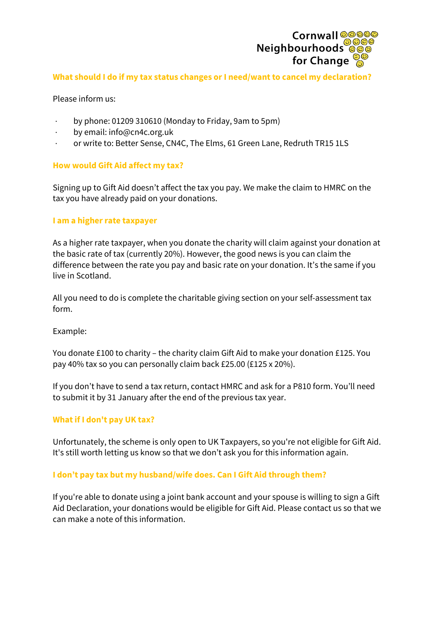

#### **What should I do if my tax status changes or I need/want to cancel my declaration?**

Please inform us:

- · by phone: 01209 310610 (Monday to Friday, 9am to 5pm)
- · by email: info@cn4c.org.uk
- · or write to: Better Sense, CN4C, The Elms, 61 Green Lane, Redruth TR15 1LS

#### **How would Gift Aid affect my tax?**

Signing up to Gift Aid doesn't affect the tax you pay. We make the claim to HMRC on the tax you have already paid on your donations.

#### **I am a higher rate taxpayer**

As a higher rate taxpayer, when you donate the charity will claim against your donation at the basic rate of tax (currently 20%). However, the good news is you can claim the difference between the rate you pay and basic rate on your donation. It's the same if you live in Scotland.

All you need to do is complete the charitable giving section on your self-assessment tax form.

Example:

You donate £100 to charity – the charity claim Gift Aid to make your donation £125. You pay 40% tax so you can personally claim back £25.00 (£125 x 20%).

If you don't have to send a tax return, contact HMRC and ask for a P810 form. You'll need to submit it by 31 January after the end of the previous tax year.

# **What if I don't pay UK tax?**

Unfortunately, the scheme is only open to UK Taxpayers, so you're not eligible for Gift Aid. It's still worth letting us know so that we don't ask you for this information again.

# **I don't pay tax but my husband/wife does. Can I Gift Aid through them?**

If you're able to donate using a joint bank account and your spouse is willing to sign a Gift Aid Declaration, your donations would be eligible for Gift Aid. Please contact us so that we can make a note of this information.